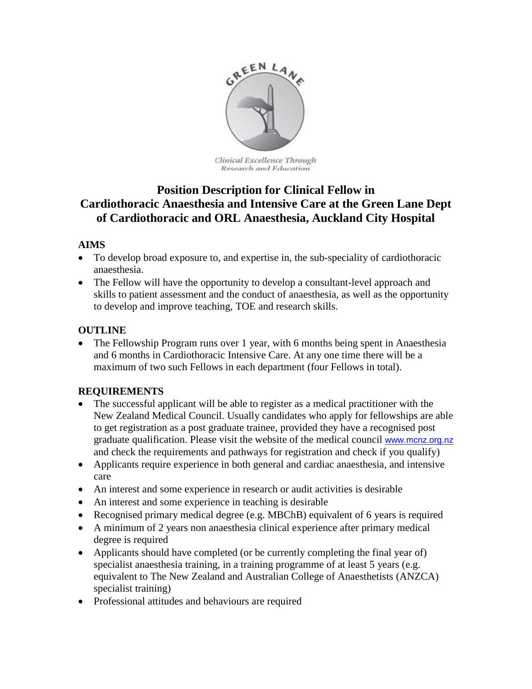

Clinical Excellence Through Research and Education

# **Position Description for Clinical Fellow in Cardiothoracic Anaesthesia and Intensive Care at the Green Lane Dept of Cardiothoracic and ORL Anaesthesia, Auckland City Hospital**

# **AIMS**

- To develop broad exposure to, and expertise in, the sub-speciality of cardiothoracic anaesthesia.
- The Fellow will have the opportunity to develop a consultant-level approach and skills to patient assessment and the conduct of anaesthesia, as well as the opportunity to develop and improve teaching, TOE and research skills.

## **OUTLINE**

• The Fellowship Program runs over 1 year, with 6 months being spent in Anaesthesia and 6 months in Cardiothoracic Intensive Care. At any one time there will be a maximum of two such Fellows in each department (four Fellows in total).

# **REQUIREMENTS**

- The successful applicant will be able to register as a medical practitioner with the New Zealand Medical Council. Usually candidates who apply for fellowships are able to get registration as a post graduate trainee, provided they have a recognised post graduate qualification. Please visit the website of the medical council [www.mcnz.org.nz](http://www.mcnz.org.nz/) and check the requirements and pathways for registration and check if you qualify)
- Applicants require experience in both general and cardiac anaesthesia, and intensive care
- An interest and some experience in research or audit activities is desirable
- An interest and some experience in teaching is desirable
- Recognised primary medical degree (e.g. MBChB) equivalent of 6 years is required
- A minimum of 2 years non anaesthesia clinical experience after primary medical degree is required
- Applicants should have completed (or be currently completing the final year of) specialist anaesthesia training, in a training programme of at least 5 years (e.g. equivalent to The New Zealand and Australian College of Anaesthetists (ANZCA) specialist training)
- Professional attitudes and behaviours are required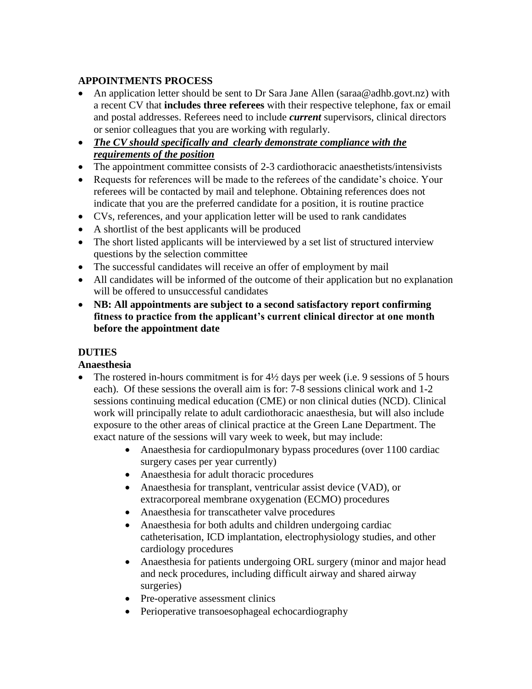## **APPOINTMENTS PROCESS**

- An application letter should be sent to Dr Sara Jane Allen [\(saraa@adhb.govt.nz\)](mailto:corneliusk@adhb.govt.nz) with a recent CV that **includes three referees** with their respective telephone, fax or email and postal addresses. Referees need to include *current* supervisors, clinical directors or senior colleagues that you are working with regularly.
- *The CV should specifically and clearly demonstrate compliance with the requirements of the position*
- The appointment committee consists of 2-3 cardiothoracic anaesthetists/intensivists
- Requests for references will be made to the referees of the candidate's choice. Your referees will be contacted by mail and telephone. Obtaining references does not indicate that you are the preferred candidate for a position, it is routine practice
- CVs, references, and your application letter will be used to rank candidates
- A shortlist of the best applicants will be produced
- The short listed applicants will be interviewed by a set list of structured interview questions by the selection committee
- The successful candidates will receive an offer of employment by mail
- All candidates will be informed of the outcome of their application but no explanation will be offered to unsuccessful candidates
- **NB: All appointments are subject to a second satisfactory report confirming fitness to practice from the applicant's current clinical director at one month before the appointment date**

# **DUTIES**

#### **Anaesthesia**

- The rostered in-hours commitment is for 4½ days per week (i.e. 9 sessions of 5 hours each). Of these sessions the overall aim is for: 7-8 sessions clinical work and 1-2 sessions continuing medical education (CME) or non clinical duties (NCD). Clinical work will principally relate to adult cardiothoracic anaesthesia, but will also include exposure to the other areas of clinical practice at the Green Lane Department. The exact nature of the sessions will vary week to week, but may include:
	- Anaesthesia for cardiopulmonary bypass procedures (over 1100 cardiac surgery cases per year currently)
	- Anaesthesia for adult thoracic procedures
	- Anaesthesia for transplant, ventricular assist device (VAD), or extracorporeal membrane oxygenation (ECMO) procedures
	- Anaesthesia for transcatheter valve procedures
	- Anaesthesia for both adults and children undergoing cardiac catheterisation, ICD implantation, electrophysiology studies, and other cardiology procedures
	- Anaesthesia for patients undergoing ORL surgery (minor and major head and neck procedures, including difficult airway and shared airway surgeries)
	- Pre-operative assessment clinics
	- Perioperative transoesophageal echocardiography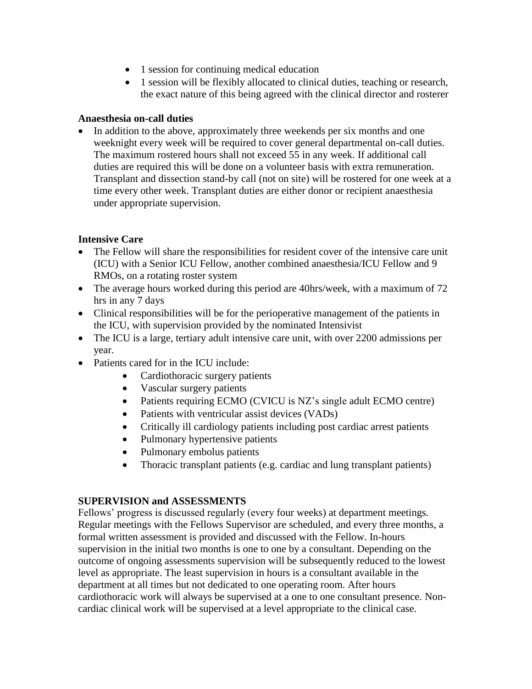- 1 session for continuing medical education
- 1 session will be flexibly allocated to clinical duties, teaching or research, the exact nature of this being agreed with the clinical director and rosterer

#### **Anaesthesia on-call duties**

• In addition to the above, approximately three weekends per six months and one weeknight every week will be required to cover general departmental on-call duties. The maximum rostered hours shall not exceed 55 in any week. If additional call duties are required this will be done on a volunteer basis with extra remuneration. Transplant and dissection stand-by call (not on site) will be rostered for one week at a time every other week. Transplant duties are either donor or recipient anaesthesia under appropriate supervision.

#### **Intensive Care**

- The Fellow will share the responsibilities for resident cover of the intensive care unit (ICU) with a Senior ICU Fellow, another combined anaesthesia/ICU Fellow and 9 RMOs, on a rotating roster system
- The average hours worked during this period are 40hrs/week, with a maximum of 72 hrs in any 7 days
- Clinical responsibilities will be for the perioperative management of the patients in the ICU, with supervision provided by the nominated Intensivist
- The ICU is a large, tertiary adult intensive care unit, with over 2200 admissions per year.
- Patients cared for in the ICU include:
	- Cardiothoracic surgery patients
	- Vascular surgery patients
	- Patients requiring ECMO (CVICU is NZ's single adult ECMO centre)
	- Patients with ventricular assist devices (VADs)
	- Critically ill cardiology patients including post cardiac arrest patients
	- Pulmonary hypertensive patients
	- Pulmonary embolus patients
	- Thoracic transplant patients (e.g. cardiac and lung transplant patients)

#### **SUPERVISION and ASSESSMENTS**

Fellows' progress is discussed regularly (every four weeks) at department meetings. Regular meetings with the Fellows Supervisor are scheduled, and every three months, a formal written assessment is provided and discussed with the Fellow. In-hours supervision in the initial two months is one to one by a consultant. Depending on the outcome of ongoing assessments supervision will be subsequently reduced to the lowest level as appropriate. The least supervision in hours is a consultant available in the department at all times but not dedicated to one operating room. After hours cardiothoracic work will always be supervised at a one to one consultant presence. Noncardiac clinical work will be supervised at a level appropriate to the clinical case.